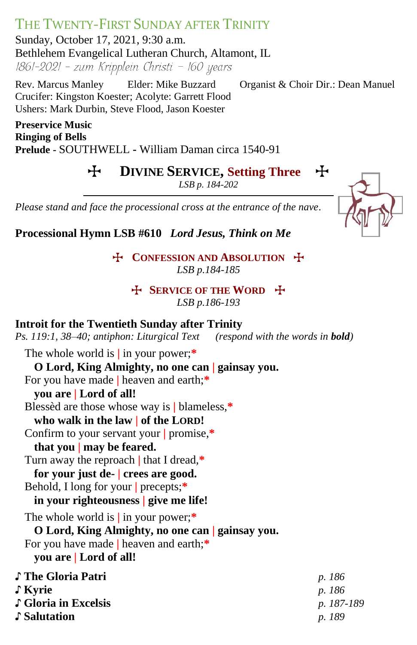## THE TWENTY-FIRST SUNDAY AFTER TRINITY

Sunday, October 17, 2021, 9:30 a.m. Bethlehem Evangelical Lutheran Church, Altamont, IL  $1861-2021$  - zum Kripplein Christi - 160 years

Rev. Marcus Manley Elder: Mike Buzzard Organist & Choir Dir.: Dean Manuel Crucifer: Kingston Koester; Acolyte: Garrett Flood Ushers: Mark Durbin, Steve Flood, Jason Koester

**Preservice Music Ringing of Bells Prelude -** SOUTHWELL **-** William Daman circa 1540-91

T **DIVINE SERVICE, Setting Three** T

*LSB p. 184-202*



*Please stand and face the processional cross at the entrance of the nave.*

**Processional Hymn LSB #610** *Lord Jesus, Think on Me*

T **CONFESSION AND ABSOLUTION** T *LSB p.184-185*

T **SERVICE OF THE WORD** T *LSB p.186-193*

## **Introit for the Twentieth Sunday after Trinity**

*Ps. 119:1, 38–40; antiphon: Liturgical Text (respond with the words in bold)*

The whole world is **|** in your power;**\* O Lord, King Almighty, no one can | gainsay you.** For you have made **|** heaven and earth;**\* you are | Lord of all!** Blessèd are those whose way is **|** blameless,**\* who walk in the law | of the LORD!** Confirm to your servant your **|** promise,**\* that you | may be feared.** Turn away the reproach **|** that I dread,**\* for your just de- | crees are good.** Behold, I long for your **|** precepts;**\* in your righteousness | give me life!** The whole world is **|** in your power;**\* O Lord, King Almighty, no one can | gainsay you.** For you have made **|** heaven and earth;**\* you are | Lord of all!** ♪ **The Gloria Patri** *p. 186* ♪ **Kyrie** *p. 186* ♪ **Gloria in Excelsis** *p. 187-189* ♪ **Salutation** *p. 189*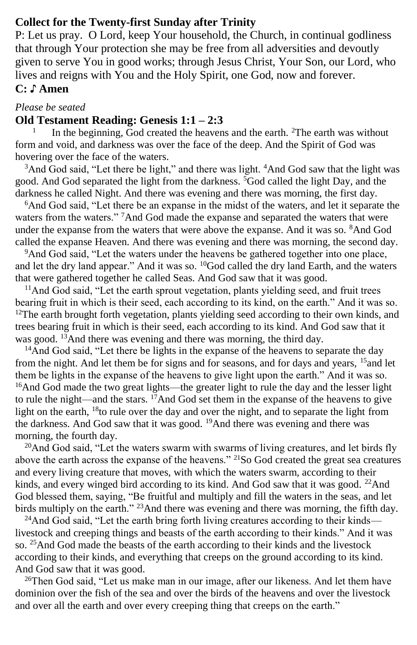### **Collect for the Twenty-first Sunday after Trinity**

P: Let us pray. O Lord, keep Your household, the Church, in continual godliness that through Your protection she may be free from all adversities and devoutly given to serve You in good works; through Jesus Christ, Your Son, our Lord, who lives and reigns with You and the Holy Spirit, one God, now and forever. **C: ♪ Amen**

#### *Please be seated*

#### **Old Testament Reading: Genesis 1:1 – 2:3**

1 In the beginning,  $\overline{G}$  created the heavens and the earth. <sup>2</sup>The earth was without form and void, and darkness was over the face of the deep. And the Spirit of God was hovering over the face of the waters.

<sup>3</sup>And God said, "Let there be light," and there was light. <sup>4</sup>And God saw that the light was good. And God separated the light from the darkness.  $5$ God called the light Day, and the darkness he called Night. And there was evening and there was morning, the first day.

<sup>6</sup>And God said, "Let there be an expanse in the midst of the waters, and let it separate the waters from the waters." <sup>7</sup>And God made the expanse and separated the waters that were under the expanse from the waters that were above the expanse. And it was so. <sup>8</sup>And God called the expanse Heaven. And there was evening and there was morning, the second day.

<sup>9</sup>And God said, "Let the waters under the heavens be gathered together into one place, and let the dry land appear." And it was so. <sup>10</sup>God called the dry land Earth, and the waters that were gathered together he called Seas. And God saw that it was good.

<sup>11</sup>And God said, "Let the earth sprout vegetation, plants yielding seed, and fruit trees bearing fruit in which is their seed, each according to its kind, on the earth." And it was so.  $12$ The earth brought forth vegetation, plants yielding seed according to their own kinds, and trees bearing fruit in which is their seed, each according to its kind. And God saw that it was good. <sup>13</sup>And there was evening and there was morning, the third day.

<sup>14</sup>And God said, "Let there be lights in the expanse of the heavens to separate the day from the night. And let them be for signs and for seasons, and for days and years, <sup>15</sup>and let them be lights in the expanse of the heavens to give light upon the earth." And it was so. <sup>16</sup>And God made the two great lights—the greater light to rule the day and the lesser light to rule the night—and the stars.  $17$ And God set them in the expanse of the heavens to give light on the earth, <sup>18</sup>to rule over the day and over the night, and to separate the light from the darkness. And God saw that it was good. <sup>19</sup>And there was evening and there was morning, the fourth day.

<sup>20</sup>And God said, "Let the waters swarm with swarms of living creatures, and let birds fly above the earth across the expanse of the heavens." <sup>21</sup>So God created the great sea creatures and every living creature that moves, with which the waters swarm, according to their kinds, and every winged bird according to its kind. And God saw that it was good. <sup>22</sup>And God blessed them, saying, "Be fruitful and multiply and fill the waters in the seas, and let birds multiply on the earth." <sup>23</sup>And there was evening and there was morning, the fifth day.

<sup>24</sup>And God said, "Let the earth bring forth living creatures according to their kinds livestock and creeping things and beasts of the earth according to their kinds." And it was so.  $^{25}$ And God made the beasts of the earth according to their kinds and the livestock according to their kinds, and everything that creeps on the ground according to its kind. And God saw that it was good.

<sup>26</sup>Then God said, "Let us make man in our image, after our likeness. And let them have dominion over the fish of the sea and over the birds of the heavens and over the livestock and over all the earth and over every creeping thing that creeps on the earth."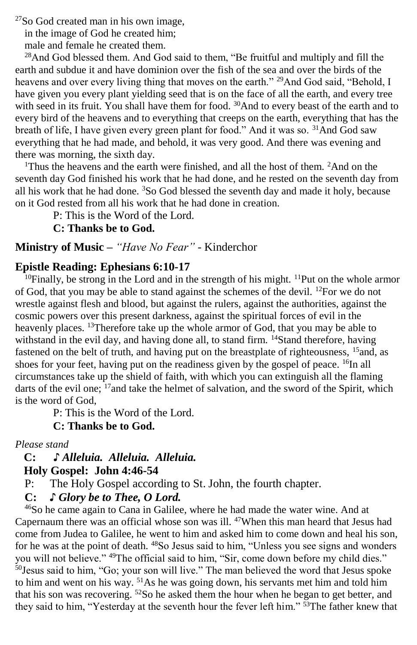<sup>27</sup>So God created man in his own image,

in the image of God he created him;

male and female he created them.

<sup>28</sup>And God blessed them. And God said to them, "Be fruitful and multiply and fill the earth and subdue it and have dominion over the fish of the sea and over the birds of the heavens and over every living thing that moves on the earth." <sup>29</sup>And God said, "Behold, I have given you every plant yielding seed that is on the face of all the earth, and every tree with seed in its fruit. You shall have them for food. <sup>30</sup>And to every beast of the earth and to every bird of the heavens and to everything that creeps on the earth, everything that has the breath of life, I have given every green plant for food." And it was so. <sup>31</sup>And God saw everything that he had made, and behold, it was very good. And there was evening and there was morning, the sixth day.

<sup>1</sup>Thus the heavens and the earth were finished, and all the host of them. <sup>2</sup>And on the seventh day God finished his work that he had done, and he rested on the seventh day from all his work that he had done. <sup>3</sup>So God blessed the seventh day and made it holy, because on it God rested from all his work that he had done in creation.

P: This is the Word of the Lord.

**C: Thanks be to God.**

#### **Ministry of Music –** *"Have No Fear"* - Kinderchor

#### **Epistle Reading: Ephesians 6:10-17**

 $10$ Finally, be strong in the Lord and in the strength of his might.  $11$ Put on the whole armor of God, that you may be able to stand against the schemes of the devil. <sup>12</sup>For we do not wrestle against flesh and blood, but against the rulers, against the authorities, against the cosmic powers over this present darkness, against the spiritual forces of evil in the heavenly places. <sup>13</sup>Therefore take up the whole armor of God, that you may be able to withstand in the evil day, and having done all, to stand firm. <sup>14</sup>Stand therefore, having fastened on the belt of truth, and having put on the breastplate of righteousness, <sup>15</sup>and, as shoes for your feet, having put on the readiness given by the gospel of peace.  $^{16}$ In all circumstances take up the shield of faith, with which you can extinguish all the flaming darts of the evil one;  $^{17}$  and take the helmet of salvation, and the sword of the Spirit, which is the word of God,

P: This is the Word of the Lord.

#### **C: Thanks be to God.**

*Please stand*

### **C: ♪** *Alleluia. Alleluia. Alleluia.*  **Holy Gospel: John 4:46-54**

- P: The Holy Gospel according to St. John, the fourth chapter.
- **C:** *♪ Glory be to Thee, O Lord.*

<sup>46</sup>So he came again to Cana in Galilee, where he had made the water wine. And at Capernaum there was an official whose son was ill.  $47$ When this man heard that Jesus had come from Judea to Galilee, he went to him and asked him to come down and heal his son, for he was at the point of death. <sup>48</sup>So Jesus said to him, "Unless you see signs and wonders you will not believe." <sup>49</sup>The official said to him, "Sir, come down before my child dies." <sup>50</sup>Jesus said to him, "Go; your son will live." The man believed the word that Jesus spoke to him and went on his way. <sup>51</sup>As he was going down, his servants met him and told him that his son was recovering. <sup>52</sup>So he asked them the hour when he began to get better, and they said to him, "Yesterday at the seventh hour the fever left him." 53The father knew that